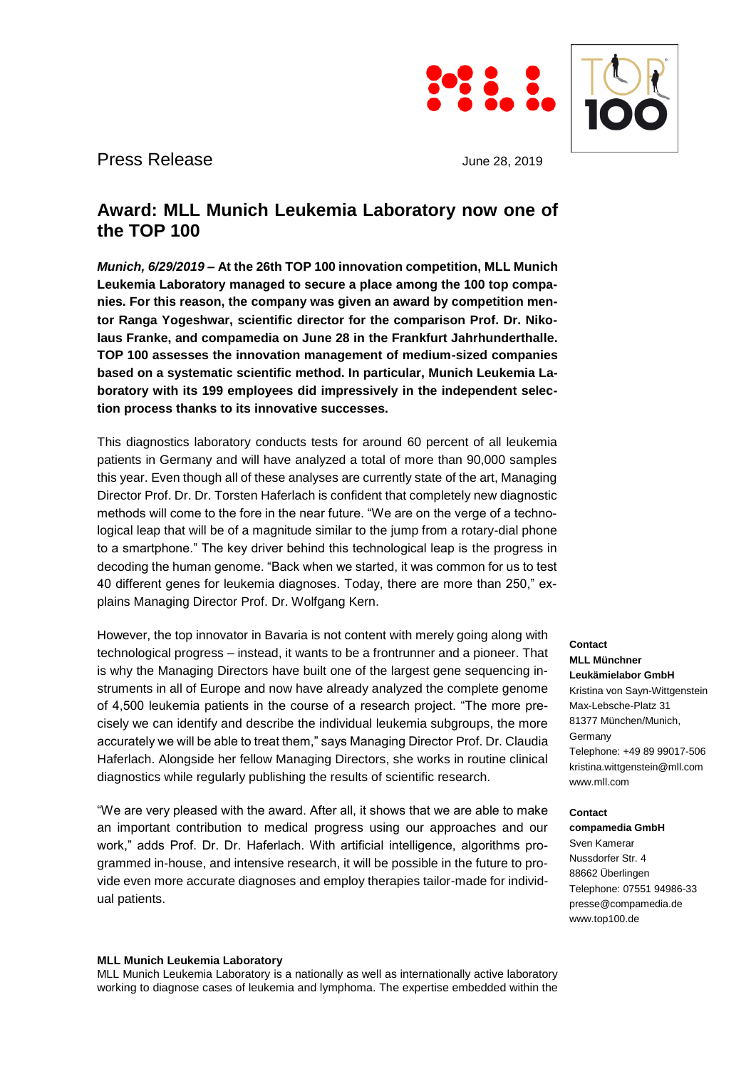



Press Release June 28, 2019

# **Award: MLL Munich Leukemia Laboratory now one of the TOP 100**

*Munich, 6/29/2019* **– At the 26th TOP 100 innovation competition, MLL Munich Leukemia Laboratory managed to secure a place among the 100 top companies. For this reason, the company was given an award by competition mentor Ranga Yogeshwar, scientific director for the comparison Prof. Dr. Nikolaus Franke, and compamedia on June 28 in the Frankfurt Jahrhunderthalle. TOP 100 assesses the innovation management of medium-sized companies based on a systematic scientific method. In particular, Munich Leukemia Laboratory with its 199 employees did impressively in the independent selection process thanks to its innovative successes.**

This diagnostics laboratory conducts tests for around 60 percent of all leukemia patients in Germany and will have analyzed a total of more than 90,000 samples this year. Even though all of these analyses are currently state of the art, Managing Director Prof. Dr. Dr. Torsten Haferlach is confident that completely new diagnostic methods will come to the fore in the near future. "We are on the verge of a technological leap that will be of a magnitude similar to the jump from a rotary-dial phone to a smartphone." The key driver behind this technological leap is the progress in decoding the human genome. "Back when we started, it was common for us to test 40 different genes for leukemia diagnoses. Today, there are more than 250," explains Managing Director Prof. Dr. Wolfgang Kern.

However, the top innovator in Bavaria is not content with merely going along with technological progress – instead, it wants to be a frontrunner and a pioneer. That is why the Managing Directors have built one of the largest gene sequencing instruments in all of Europe and now have already analyzed the complete genome of 4,500 leukemia patients in the course of a research project. "The more precisely we can identify and describe the individual leukemia subgroups, the more accurately we will be able to treat them," says Managing Director Prof. Dr. Claudia Haferlach. Alongside her fellow Managing Directors, she works in routine clinical diagnostics while regularly publishing the results of scientific research.

"We are very pleased with the award. After all, it shows that we are able to make an important contribution to medical progress using our approaches and our work," adds Prof. Dr. Dr. Haferlach. With artificial intelligence, algorithms programmed in-house, and intensive research, it will be possible in the future to provide even more accurate diagnoses and employ therapies tailor-made for individual patients.

**MLL Münchner Leukämielabor GmbH** Kristina von Sayn-Wittgenstein Max-Lebsche-Platz 31 81377 München/Munich, Germany Telephone: +49 89 99017-506 kristina.wittgenstein@mll.com www.mll.com

## **Contact**

**Contact**

**compamedia GmbH** Sven Kamerar Nussdorfer Str. 4 88662 Überlingen Telephone: 07551 94986-33 presse@compamedia.de www.top100.de

### **MLL Munich Leukemia Laboratory**

MLL Munich Leukemia Laboratory is a nationally as well as internationally active laboratory working to diagnose cases of leukemia and lymphoma. The expertise embedded within the